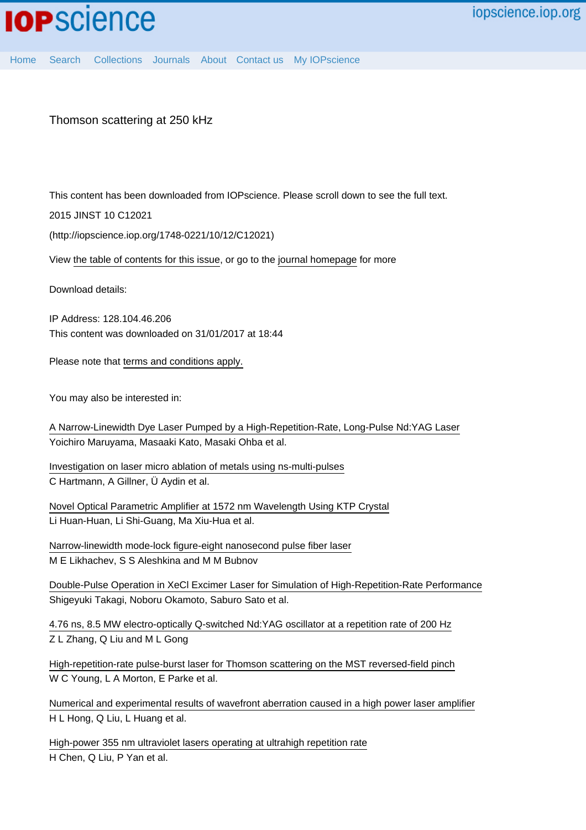## Thomson scattering at 250 kHz

This content has been downloaded from IOPscience. Please scroll down to see the full text.

2015 JINST 10 C12021

(http://iopscience.iop.org/1748-0221/10/12/C12021)

View [the table of contents for this issue](http://iopscience.iop.org/1748-0221/10/12), or go to the [journal homepage](http://iopscience.iop.org/1748-0221) for more

Download details:

IP Address: 128.104.46.206 This content was downloaded on 31/01/2017 at 18:44

Please note that [terms and conditions apply.](http://iopscience.iop.org/page/terms)

You may also be interested in:

[A Narrow-Linewidth Dye Laser Pumped by a High-Repetition-Rate, Long-Pulse Nd:YAG Laser](http://iopscience.iop.org/article/10.1143/JJAP.34.L1045) Yoichiro Maruyama, Masaaki Kato, Masaki Ohba et al.

[Investigation on laser micro ablation of metals using ns-multi-pulses](http://iopscience.iop.org/article/10.1088/1742-6596/59/1/094) C Hartmann, A Gillner, Ü Aydin et al.

[Novel Optical Parametric Amplifier at 1572 nm Wavelength Using KTP Crystal](http://iopscience.iop.org/article/10.1088/0256-307X/29/11/114215) Li Huan-Huan, Li Shi-Guang, Ma Xiu-Hua et al.

[Narrow-linewidth mode-lock figure-eight nanosecond pulse fiber laser](http://iopscience.iop.org/article/10.1088/1612-2011/11/12/125104) M E Likhachev, S S Aleshkina and M M Bubnov

[Double-Pulse Operation in XeCl Excimer Laser for Simulation of High-Repetition-Rate Performance](http://iopscience.iop.org/article/10.1143/JJAP.29.1108) Shigeyuki Takagi, Noboru Okamoto, Saburo Sato et al.

[4.76 ns, 8.5 MW electro-optically Q-switched Nd:YAG oscillator at a repetition rate of 200 Hz](http://iopscience.iop.org/article/10.1088/1612-2011/10/3/035002) Z L Zhang, Q Liu and M L Gong

[High-repetition-rate pulse-burst laser for Thomson scattering on the MST reversed-field pinch](http://iopscience.iop.org/article/10.1088/1748-0221/8/11/C11013) W C Young, L A Morton, E Parke et al.

| Numerical and experimental results of wavefront aberration caused in a high power laser amplifier |  |  |  |
|---------------------------------------------------------------------------------------------------|--|--|--|
| H L Hong, Q Liu, L Huang et al.                                                                   |  |  |  |

[High-power 355 nm ultraviolet lasers operating at ultrahigh repetition rate](http://iopscience.iop.org/article/10.1088/1612-2011/10/2/025401) H Chen, Q Liu, P Yan et al.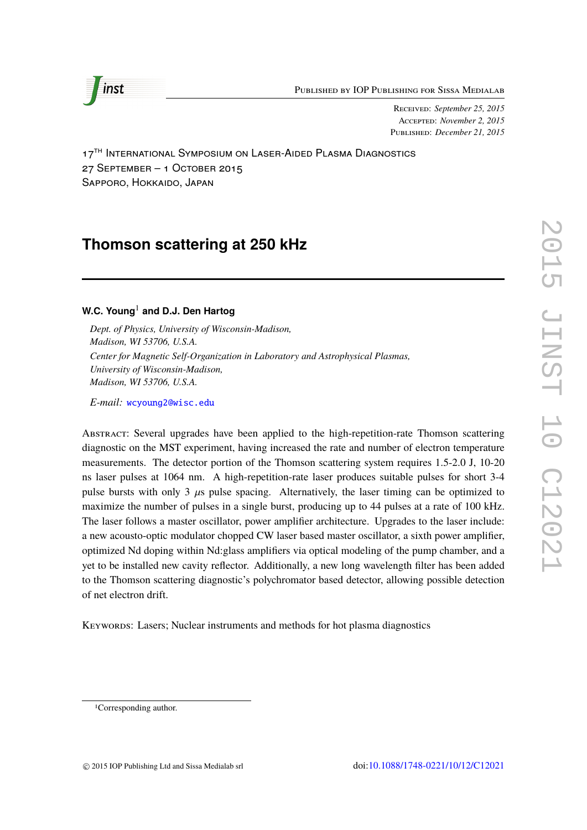Published by IOP Publishing for Sissa Medialab



Received: *September 25, 2015* Accepted: *November 2, 2015* Published: *December 21, 2015*

17<sup>TH</sup> INTERNATIONAL SYMPOSIUM ON LASER-AIDED PLASMA DIAGNOSTICS 27 September – 1 October 2015 Sapporo, Hokkaido, Japan

# **Thomson scattering at 250 kHz**

## **W.C. Young**<sup>1</sup> **and D.J. Den Hartog**

*Dept. of Physics, University of Wisconsin-Madison, Madison, WI 53706, U.S.A. Center for Magnetic Self-Organization in Laboratory and Astrophysical Plasmas, University of Wisconsin-Madison, Madison, WI 53706, U.S.A.*

*E-mail:* [wcyoung2@wisc.edu](mailto:wcyoung2@wisc.edu)

Abstract: Several upgrades have been applied to the high-repetition-rate Thomson scattering diagnostic on the MST experiment, having increased the rate and number of electron temperature measurements. The detector portion of the Thomson scattering system requires 1.5-2.0 J, 10-20 ns laser pulses at 1064 nm. A high-repetition-rate laser produces suitable pulses for short 3-4 pulse bursts with only 3  $\mu$ s pulse spacing. Alternatively, the laser timing can be optimized to maximize the number of pulses in a single burst, producing up to 44 pulses at a rate of 100 kHz. The laser follows a master oscillator, power amplifier architecture. Upgrades to the laser include: a new acousto-optic modulator chopped CW laser based master oscillator, a sixth power amplifier, optimized Nd doping within Nd:glass amplifiers via optical modeling of the pump chamber, and a yet to be installed new cavity reflector. Additionally, a new long wavelength filter has been added to the Thomson scattering diagnostic's polychromator based detector, allowing possible detection of net electron drift.

Keywords: Lasers; Nuclear instruments and methods for hot plasma diagnostics

<sup>1</sup>Corresponding author.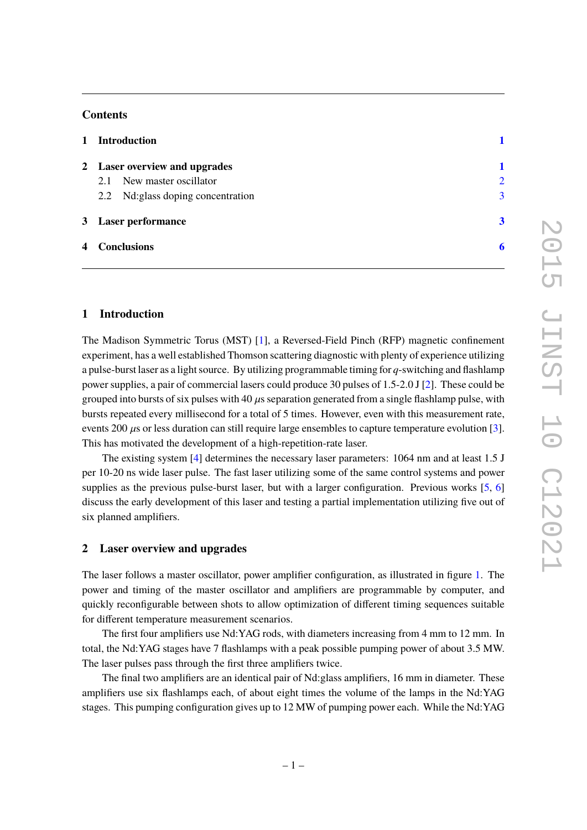## **Contents**

|               | 1 Introduction                     |                         |
|---------------|------------------------------------|-------------------------|
|               | 2 Laser overview and upgrades      |                         |
|               | New master oscillator<br>2.1       | $\overline{2}$          |
|               | 2.2 Nd: glass doping concentration | $\overline{3}$          |
|               | 3 Laser performance                | $\overline{\mathbf{3}}$ |
| 4 Conclusions |                                    |                         |

## <span id="page-2-0"></span>**1 Introduction**

The Madison Symmetric Torus (MST) [\[1\]](#page-7-1), a Reversed-Field Pinch (RFP) magnetic confinement experiment, has a well established Thomson scattering diagnostic with plenty of experience utilizing a pulse-burst laser as a light source. By utilizing programmable timing for *q*-switching and flashlamp power supplies, a pair of commercial lasers could produce 30 pulses of 1.5-2.0 J [\[2\]](#page-7-2). These could be grouped into bursts of six pulses with 40  $\mu$ s separation generated from a single flashlamp pulse, with bursts repeated every millisecond for a total of 5 times. However, even with this measurement rate, events 200  $\mu$ s or less duration can still require large ensembles to capture temperature evolution [\[3\]](#page-7-3). This has motivated the development of a high-repetition-rate laser.

The existing system [\[4\]](#page-7-4) determines the necessary laser parameters: 1064 nm and at least 1.5 J per 10-20 ns wide laser pulse. The fast laser utilizing some of the same control systems and power supplies as the previous pulse-burst laser, but with a larger configuration. Previous works [\[5,](#page-7-5) [6\]](#page-8-0) discuss the early development of this laser and testing a partial implementation utilizing five out of six planned amplifiers.

## <span id="page-2-1"></span>**2 Laser overview and upgrades**

The laser follows a master oscillator, power amplifier configuration, as illustrated in figure [1.](#page-3-1) The power and timing of the master oscillator and amplifiers are programmable by computer, and quickly reconfigurable between shots to allow optimization of different timing sequences suitable for different temperature measurement scenarios.

The first four amplifiers use Nd:YAG rods, with diameters increasing from 4 mm to 12 mm. In total, the Nd:YAG stages have 7 flashlamps with a peak possible pumping power of about 3.5 MW. The laser pulses pass through the first three amplifiers twice.

The final two amplifiers are an identical pair of Nd:glass amplifiers, 16 mm in diameter. These amplifiers use six flashlamps each, of about eight times the volume of the lamps in the Nd:YAG stages. This pumping configuration gives up to 12 MW of pumping power each. While the Nd:YAG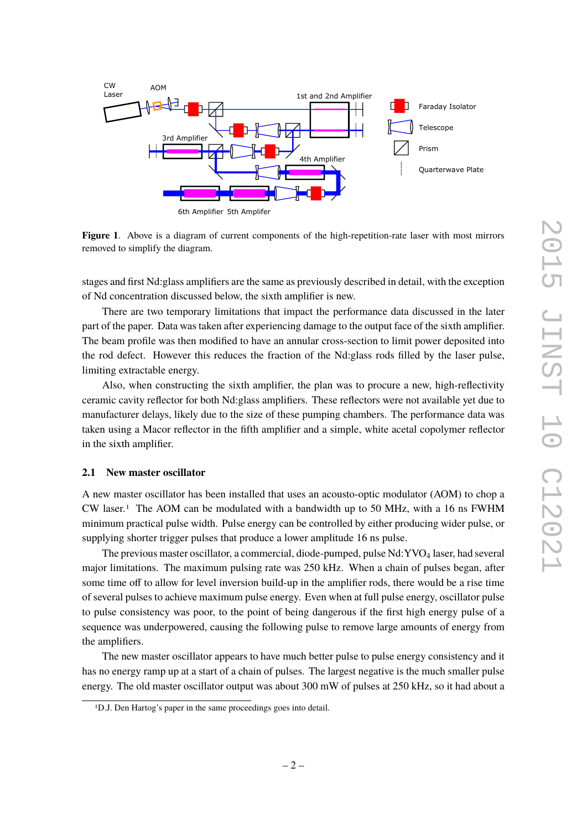

<span id="page-3-1"></span>**Figure 1**. Above is a diagram of current components of the high-repetition-rate laser with most mirrors removed to simplify the diagram.

stages and first Nd:glass amplifiers are the same as previously described in detail, with the exception of Nd concentration discussed below, the sixth amplifier is new.

There are two temporary limitations that impact the performance data discussed in the later part of the paper. Data was taken after experiencing damage to the output face of the sixth amplifier. The beam profile was then modified to have an annular cross-section to limit power deposited into the rod defect. However this reduces the fraction of the Nd:glass rods filled by the laser pulse, limiting extractable energy.

Also, when constructing the sixth amplifier, the plan was to procure a new, high-reflectivity ceramic cavity reflector for both Nd:glass amplifiers. These reflectors were not available yet due to manufacturer delays, likely due to the size of these pumping chambers. The performance data was taken using a Macor reflector in the fifth amplifier and a simple, white acetal copolymer reflector in the sixth amplifier.

#### <span id="page-3-0"></span>**2.1 New master oscillator**

A new master oscillator has been installed that uses an acousto-optic modulator (AOM) to chop a  $CW$  laser.<sup>[1](#page-3-2)</sup> The AOM can be modulated with a bandwidth up to 50 MHz, with a 16 ns FWHM minimum practical pulse width. Pulse energy can be controlled by either producing wider pulse, or supplying shorter trigger pulses that produce a lower amplitude 16 ns pulse.

The previous master oscillator, a commercial, diode-pumped, pulse Nd:YVO<sub>4</sub> laser, had several major limitations. The maximum pulsing rate was 250 kHz. When a chain of pulses began, after some time off to allow for level inversion build-up in the amplifier rods, there would be a rise time of several pulses to achieve maximum pulse energy. Even when at full pulse energy, oscillator pulse to pulse consistency was poor, to the point of being dangerous if the first high energy pulse of a sequence was underpowered, causing the following pulse to remove large amounts of energy from the amplifiers.

The new master oscillator appears to have much better pulse to pulse energy consistency and it has no energy ramp up at a start of a chain of pulses. The largest negative is the much smaller pulse energy. The old master oscillator output was about 300 mW of pulses at 250 kHz, so it had about a

<span id="page-3-2"></span><sup>1</sup>D.J. Den Hartog's paper in the same proceedings goes into detail.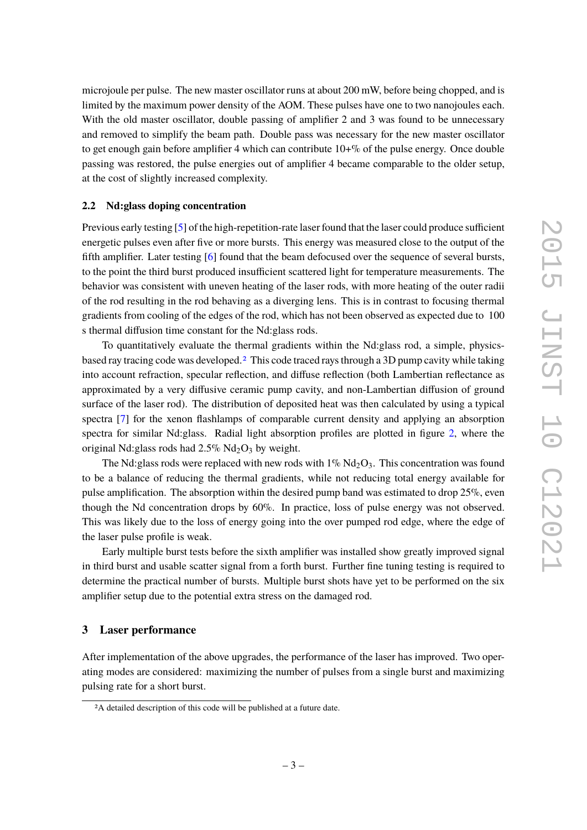microjoule per pulse. The new master oscillator runs at about 200 mW, before being chopped, and is limited by the maximum power density of the AOM. These pulses have one to two nanojoules each. With the old master oscillator, double passing of amplifier 2 and 3 was found to be unnecessary and removed to simplify the beam path. Double pass was necessary for the new master oscillator to get enough gain before amplifier 4 which can contribute  $10+%$  of the pulse energy. Once double passing was restored, the pulse energies out of amplifier 4 became comparable to the older setup, at the cost of slightly increased complexity.

#### <span id="page-4-0"></span>**2.2 Nd:glass doping concentration**

Previous early testing [\[5\]](#page-7-5) of the high-repetition-rate laser found that the laser could produce sufficient energetic pulses even after five or more bursts. This energy was measured close to the output of the fifth amplifier. Later testing [\[6\]](#page-8-0) found that the beam defocused over the sequence of several bursts, to the point the third burst produced insufficient scattered light for temperature measurements. The behavior was consistent with uneven heating of the laser rods, with more heating of the outer radii of the rod resulting in the rod behaving as a diverging lens. This is in contrast to focusing thermal gradients from cooling of the edges of the rod, which has not been observed as expected due to 100 s thermal diffusion time constant for the Nd:glass rods.

To quantitatively evaluate the thermal gradients within the Nd:glass rod, a simple, physicsbased ray tracing code was developed.[2](#page-4-2) This code traced rays through a 3D pump cavity while taking into account refraction, specular reflection, and diffuse reflection (both Lambertian reflectance as approximated by a very diffusive ceramic pump cavity, and non-Lambertian diffusion of ground surface of the laser rod). The distribution of deposited heat was then calculated by using a typical spectra [\[7\]](#page-8-1) for the xenon flashlamps of comparable current density and applying an absorption spectra for similar Nd:glass. Radial light absorption profiles are plotted in figure [2,](#page-5-0) where the original Nd:glass rods had  $2.5\%$  Nd<sub>2</sub>O<sub>3</sub> by weight.

The Nd:glass rods were replaced with new rods with  $1\%$  Nd<sub>2</sub>O<sub>3</sub>. This concentration was found to be a balance of reducing the thermal gradients, while not reducing total energy available for pulse amplification. The absorption within the desired pump band was estimated to drop 25%, even though the Nd concentration drops by 60%. In practice, loss of pulse energy was not observed. This was likely due to the loss of energy going into the over pumped rod edge, where the edge of the laser pulse profile is weak.

Early multiple burst tests before the sixth amplifier was installed show greatly improved signal in third burst and usable scatter signal from a forth burst. Further fine tuning testing is required to determine the practical number of bursts. Multiple burst shots have yet to be performed on the six amplifier setup due to the potential extra stress on the damaged rod.

#### <span id="page-4-1"></span>**3 Laser performance**

After implementation of the above upgrades, the performance of the laser has improved. Two operating modes are considered: maximizing the number of pulses from a single burst and maximizing pulsing rate for a short burst.

<span id="page-4-2"></span><sup>2</sup>A detailed description of this code will be published at a future date.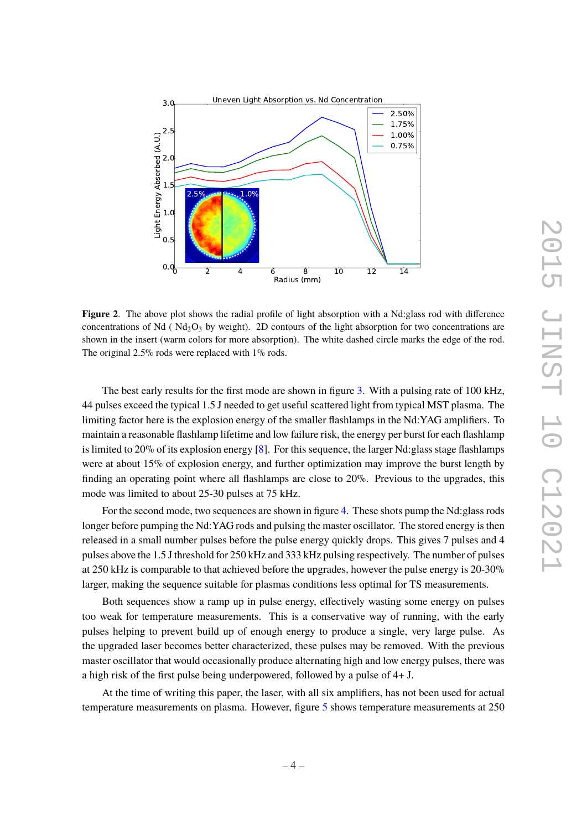

<span id="page-5-0"></span>**Figure 2**. The above plot shows the radial profile of light absorption with a Nd:glass rod with difference concentrations of Nd ( $Nd_2O_3$  by weight). 2D contours of the light absorption for two concentrations are shown in the insert (warm colors for more absorption). The white dashed circle marks the edge of the rod. The original 2.5% rods were replaced with 1% rods.

The best early results for the first mode are shown in figure [3.](#page-6-0) With a pulsing rate of 100 kHz, 44 pulses exceed the typical 1.5 J needed to get useful scattered light from typical MST plasma. The limiting factor here is the explosion energy of the smaller flashlamps in the Nd:YAG amplifiers. To maintain a reasonable flashlamp lifetime and low failure risk, the energy per burst for each flashlamp is limited to 20% of its explosion energy [\[8\]](#page-8-2). For this sequence, the larger Nd:glass stage flashlamps were at about 15% of explosion energy, and further optimization may improve the burst length by finding an operating point where all flashlamps are close to 20%. Previous to the upgrades, this mode was limited to about 25-30 pulses at 75 kHz.

For the second mode, two sequences are shown in figure [4.](#page-6-1) These shots pump the Nd:glass rods longer before pumping the Nd:YAG rods and pulsing the master oscillator. The stored energy is then released in a small number pulses before the pulse energy quickly drops. This gives 7 pulses and 4 pulses above the 1.5 J threshold for 250 kHz and 333 kHz pulsing respectively. The number of pulses at 250 kHz is comparable to that achieved before the upgrades, however the pulse energy is 20-30% larger, making the sequence suitable for plasmas conditions less optimal for TS measurements.

Both sequences show a ramp up in pulse energy, effectively wasting some energy on pulses too weak for temperature measurements. This is a conservative way of running, with the early pulses helping to prevent build up of enough energy to produce a single, very large pulse. As the upgraded laser becomes better characterized, these pulses may be removed. With the previous master oscillator that would occasionally produce alternating high and low energy pulses, there was a high risk of the first pulse being underpowered, followed by a pulse of 4+ J.

At the time of writing this paper, the laser, with all six amplifiers, has not been used for actual temperature measurements on plasma. However, figure [5](#page-7-6) shows temperature measurements at 250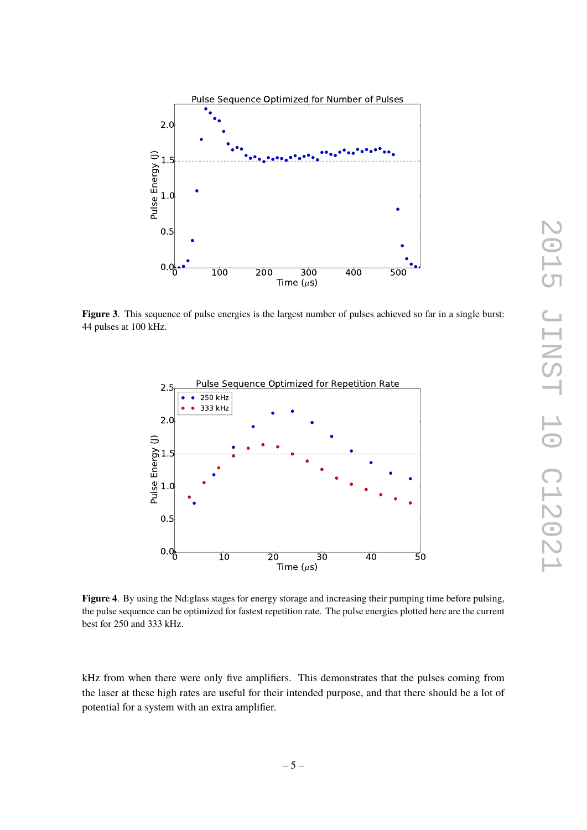

<span id="page-6-0"></span>**Figure 3**. This sequence of pulse energies is the largest number of pulses achieved so far in a single burst: 44 pulses at 100 kHz.



<span id="page-6-1"></span>**Figure 4**. By using the Nd:glass stages for energy storage and increasing their pumping time before pulsing, the pulse sequence can be optimized for fastest repetition rate. The pulse energies plotted here are the current best for 250 and 333 kHz.

kHz from when there were only five amplifiers. This demonstrates that the pulses coming from the laser at these high rates are useful for their intended purpose, and that there should be a lot of potential for a system with an extra amplifier.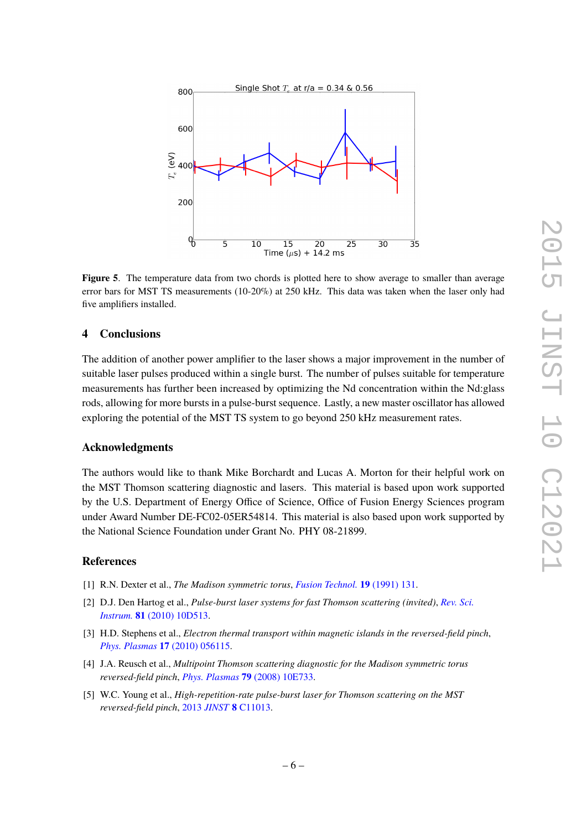

<span id="page-7-6"></span>**Figure 5**. The temperature data from two chords is plotted here to show average to smaller than average error bars for MST TS measurements (10-20%) at 250 kHz. This data was taken when the laser only had five amplifiers installed.

#### <span id="page-7-0"></span>**4 Conclusions**

The addition of another power amplifier to the laser shows a major improvement in the number of suitable laser pulses produced within a single burst. The number of pulses suitable for temperature measurements has further been increased by optimizing the Nd concentration within the Nd:glass rods, allowing for more bursts in a pulse-burst sequence. Lastly, a new master oscillator has allowed exploring the potential of the MST TS system to go beyond 250 kHz measurement rates.

#### **Acknowledgments**

The authors would like to thank Mike Borchardt and Lucas A. Morton for their helpful work on the MST Thomson scattering diagnostic and lasers. This material is based upon work supported by the U.S. Department of Energy Office of Science, Office of Fusion Energy Sciences program under Award Number DE-FC02-05ER54814. This material is also based upon work supported by the National Science Foundation under Grant No. PHY 08-21899.

#### **References**

- <span id="page-7-1"></span>[1] R.N. Dexter et al., *The Madison symmetric torus*, *[Fusion Technol.](http://www.ans.org/pubs/journals/fst/a_29322)* **19** (1991) 131.
- <span id="page-7-2"></span>[2] D.J. Den Hartog et al., *Pulse-burst laser systems for fast Thomson scattering (invited)*, *[Rev. Sci.](http://dx.doi.org/10.1063/1.3475723) Instrum.* **81** [\(2010\) 10D513.](http://dx.doi.org/10.1063/1.3475723)
- <span id="page-7-3"></span>[3] H.D. Stephens et al., *Electron thermal transport within magnetic islands in the reversed-field pinch*, *Phys. Plasmas* **17** [\(2010\) 056115.](http://dx.doi.org/10.1063/1.3388374)
- <span id="page-7-4"></span>[4] J.A. Reusch et al., *Multipoint Thomson scattering diagnostic for the Madison symmetric torus reversed-field pinch*, *Phys. Plasmas* **79** [\(2008\) 10E733.](http://dx.doi.org/10.1063/1.2956742)
- <span id="page-7-5"></span>[5] W.C. Young et al., *High-repetition-rate pulse-burst laser for Thomson scattering on the MST reversed-field pinch*, 2013 *JINST* **8** [C11013.](http://dx.doi.org/10.1088/1748-0221/8/11/C11013)